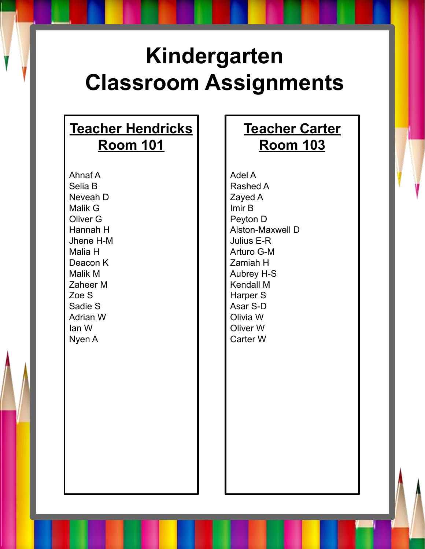## **Kindergarten Classroom Assignments**

### **Teacher Hendricks Room 101**

Ahnaf A Selia B Neveah D Malik G Oliver G Hannah H Jhene H-M Malia H Deacon K Malik M Zaheer M Zoe S Sadie S Adrian W Ian W Nyen A

### **Teacher Carter Room 103**

Adel A Rashed A Zayed A Imir B Peyton D Alston-Maxwell D Julius E-R Arturo G-M Zamiah H Aubrey H-S Kendall M Harper S Asar S-D Olivia W Oliver W Carter W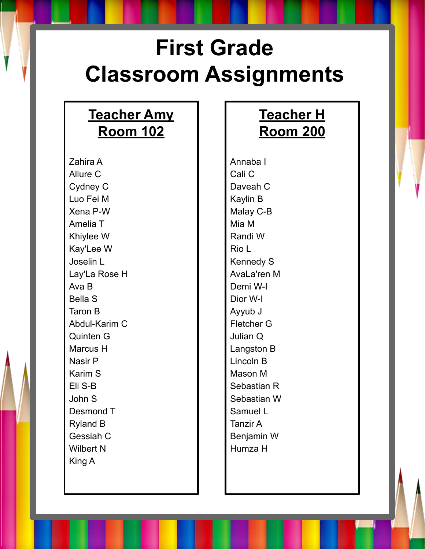# **First Grade Classroom Assignments**

#### **Teacher Amy Room 102**

Zahira A Allure C Cydney C Luo Fei M Xena P-W Amelia T Khiylee W Kay'Lee W Joselin L Lay'La Rose H Ava B Bella S Taron B Abdul-Karim C Quinten G Marcus H Nasir P Karim S Eli S-B John S Desmond T Ryland B Gessiah C Wilbert N King A

### **Teacher H Room 200**

Annaba I Cali C Daveah C Kaylin B Malay C-B Mia M Randi W Rio L Kennedy S AvaLa'ren M Demi W-I Dior W-I Ayyub J Fletcher G Julian Q Langston B Lincoln B Mason M Sebastian R Sebastian W Samuel L Tanzir A Benjamin W Humza H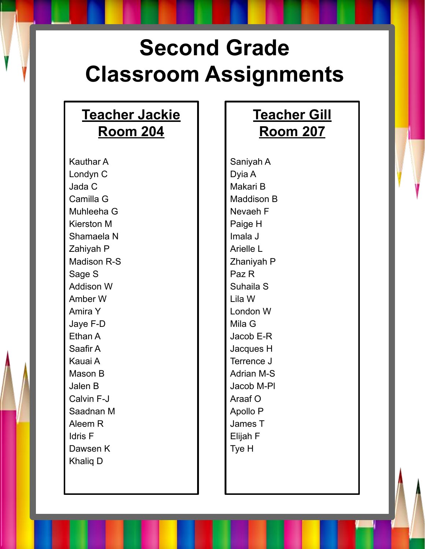# **Second Grade Classroom Assignments**

#### **Teacher Jackie Room 204**

Kauthar A Londyn C Jada C Camilla G Muhleeha G Kierston M Shamaela N Zahiyah P Madison R-S Sage S Addison W Amber W Amira Y Jaye F-D Ethan A Saafir A Kauai A Mason B Jalen B Calvin F-J Saadnan M Aleem R Idris F Dawsen K Khaliq D

### **Teacher Gill Room 207**

Saniyah A Dyia A Makari B Maddison B Nevaeh F Paige H Imala J Arielle L Zhaniyah P Paz R Suhaila S Lila W London W Mila G Jacob E-R Jacques H Terrence J Adrian M-S Jacob M-Pl Araaf O Apollo P James T Elijah F Tye H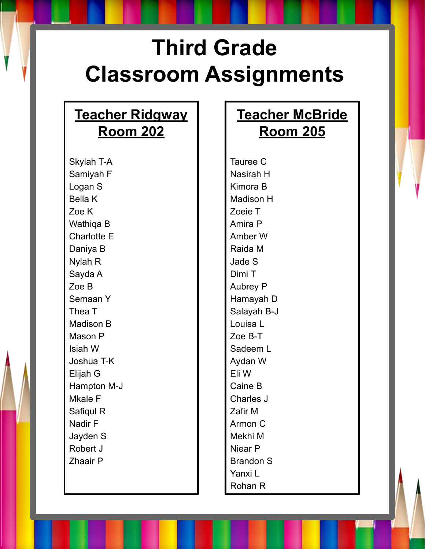# **Third Grade Classroom Assignments**

#### **Teacher Ridgway Room 202**

Skylah T-A Samiyah F Logan S Bella K Zoe K Wathiqa B Charlotte E Daniya B Nylah R Sayda A Zoe B Semaan Y Thea T Madison B Mason P Isiah W Joshua T-K Elijah G Hampton M-J Mkale F Safiqul R Nadir F Jayden S Robert J Zhaair P

#### **Teacher McBride Room 205**

Tauree C Nasirah H Kimora B Madison H Zoeie T Amira P Amber W Raida M Jade S Dimi T Aubrey P Hamayah D Salayah B-J Louisa L Zoe B-T Sadeem L Aydan W Eli W Caine B Charles J Zafir M Armon C Mekhi M Niear P Brandon S Yanxi L Rohan R